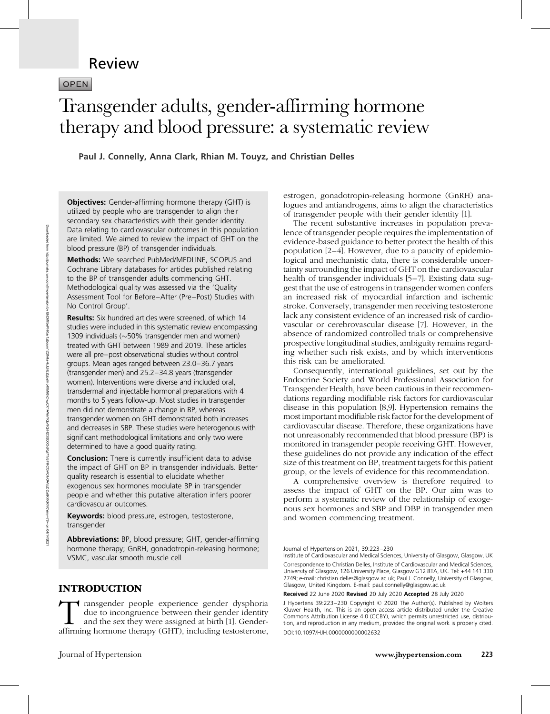## Review

OPEN

# Transgender adults, gender-affirming hormone therapy and blood pressure: a systematic review

Paul J. Connelly, Anna Clark, Rhian M. Touyz, and Christian Delles

Objectives: Gender-affirming hormone therapy (GHT) is utilized by people who are transgender to align their secondary sex characteristics with their gender identity. Data relating to cardiovascular outcomes in this population are limited. We aimed to review the impact of GHT on the blood pressure (BP) of transgender individuals.

Methods: We searched PubMed/MEDLINE, SCOPUS and Cochrane Library databases for articles published relating to the BP of transgender adults commencing GHT. Methodological quality was assessed via the 'Quality Assessment Tool for Before–After (Pre–Post) Studies with No Control Group'.

Results: Six hundred articles were screened, of which 14 studies were included in this systematic review encompassing 1309 individuals  $(\sim]50\%$  transgender men and women) treated with GHT between 1989 and 2019. These articles were all pre–post observational studies without control groups. Mean ages ranged between 23.0–36.7 years (transgender men) and 25.2–34.8 years (transgender women). Interventions were diverse and included oral, transdermal and injectable hormonal preparations with 4 months to 5 years follow-up. Most studies in transgender men did not demonstrate a change in BP, whereas transgender women on GHT demonstrated both increases and decreases in SBP. These studies were heterogenous with significant methodological limitations and only two were determined to have a good quality rating.

**Conclusion:** There is currently insufficient data to advise the impact of GHT on BP in transgender individuals. Better quality research is essential to elucidate whether exogenous sex hormones modulate BP in transgender people and whether this putative alteration infers poorer cardiovascular outcomes.

Keywords: blood pressure, estrogen, testosterone, transgender

Abbreviations: BP, blood pressure; GHT, gender-affirming hormone therapy; GnRH, gonadotropin-releasing hormone; VSMC, vascular smooth muscle cell

## INTRODUCTION

estrogen, gonadotropin-releasing hormone (GnRH) analogues and antiandrogens, aims to align the characteristics of transgender people with their gender identity [1].

The recent substantive increases in population prevalence of transgender people requires the implementation of evidence-based guidance to better protect the health of this population [2–4]. However, due to a paucity of epidemiological and mechanistic data, there is considerable uncertainty surrounding the impact of GHT on the cardiovascular health of transgender individuals [5–7]. Existing data suggest that the use of estrogens in transgender women confers an increased risk of myocardial infarction and ischemic stroke. Conversely, transgender men receiving testosterone lack any consistent evidence of an increased risk of cardiovascular or cerebrovascular disease [7]. However, in the absence of randomized controlled trials or comprehensive prospective longitudinal studies, ambiguity remains regarding whether such risk exists, and by which interventions this risk can be ameliorated.

Consequently, international guidelines, set out by the Endocrine Society and World Professional Association for Transgender Health, have been cautious in their recommendations regarding modifiable risk factors for cardiovascular disease in this population [8,9]. Hypertension remains the most important modifiable risk factor for the development of cardiovascular disease. Therefore, these organizations have not unreasonably recommended that blood pressure (BP) is monitored in transgender people receiving GHT. However, these guidelines do not provide any indication of the effect size of this treatment on BP, treatment targets for this patient group, or the levels of evidence for this recommendation.

A comprehensive overview is therefore required to assess the impact of GHT on the BP. Our aim was to perform a systematic review of the relationship of exogenous sex hormones and SBP and DBP in transgender men and women commencing treatment.

Transgender people experience gender dysphoria due to incongruence between their gender identity and the sex they were assigned at birth [1]. Genderaffirming hormone therapy (GHT), including testosterone,

Journal of Hypertension 2021, 39:223–230

Institute of Cardiovascular and Medical Sciences, University of Glasgow, Glasgow, UK Correspondence to Christian Delles, Institute of Cardiovascular and Medical Sciences, University of Glasgow, 126 University Place, Glasgow G12 8TA, UK. Tel: +44 141 330 2749; e-mail: [christian.delles@glasgow.ac.uk](mailto:christian.delles@glasgow.ac.uk); Paul J. Connelly, University of Glasgow, Glasgow, United Kingdom. E-mail: [paul.connelly@glasgow.ac.uk](mailto:paul.connelly@glasgow.ac.uk)

Received 22 June 2020 Revised 20 July 2020 Accepted 28 July 2020

J Hypertens 39:223–230 Copyright © 2020 The Author(s). Published by Wolters Kluwer Health, Inc. This is an open access article distributed under the Creative Commons Attribution License 4.0 (CCBY), which permits unrestricted use, distribution, and reproduction in any medium, provided the original work is properly cited. DOI:10.1097/HJH.0000000000002632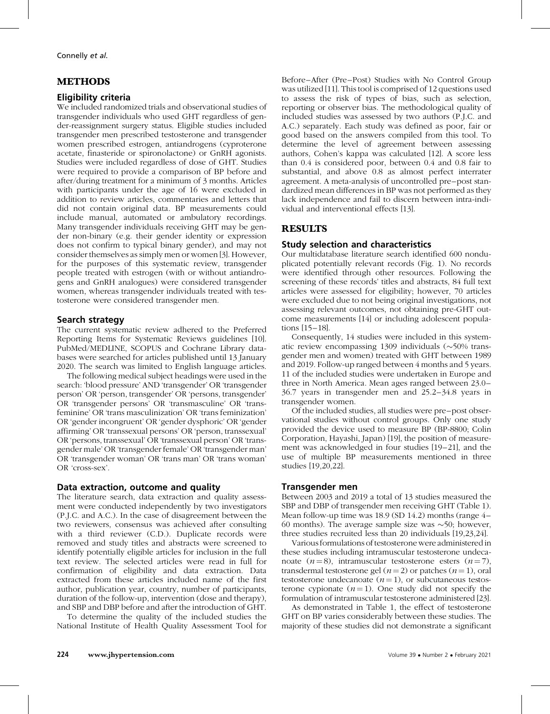## METHODS

## Eligibility criteria

We included randomized trials and observational studies of transgender individuals who used GHT regardless of gender-reassignment surgery status. Eligible studies included transgender men prescribed testosterone and transgender women prescribed estrogen, antiandrogens (cyproterone acetate, finasteride or spironolactone) or GnRH agonists. Studies were included regardless of dose of GHT. Studies were required to provide a comparison of BP before and after/during treatment for a minimum of 3 months. Articles with participants under the age of 16 were excluded in addition to review articles, commentaries and letters that did not contain original data. BP measurements could include manual, automated or ambulatory recordings. Many transgender individuals receiving GHT may be gender non-binary (e.g. their gender identity or expression does not confirm to typical binary gender), and may not consider themselves as simply men or women [3]. However, for the purposes of this systematic review, transgender people treated with estrogen (with or without antiandrogens and GnRH analogues) were considered transgender women, whereas transgender individuals treated with testosterone were considered transgender men.

## Search strategy

The current systematic review adhered to the Preferred Reporting Items for Systematic Reviews guidelines [10]. PubMed/MEDLINE, SCOPUS and Cochrane Library databases were searched for articles published until 13 January 2020. The search was limited to English language articles.

The following medical subject headings were used in the search: 'blood pressure' AND 'transgender' OR 'transgender person' OR 'person, transgender' OR 'persons, transgender' OR 'transgender persons' OR 'transmasculine' OR 'transfeminine' OR 'trans masculinization' OR 'trans feminization' OR 'gender incongruent' OR 'gender dysphoric' OR 'gender affirming' OR 'transsexual persons' OR 'person, transsexual' OR 'persons, transsexual' OR 'transsexual person' OR 'transgender male' OR 'transgender female' OR 'transgender man' OR 'transgender woman' OR 'trans man' OR 'trans woman' OR 'cross-sex'.

## Data extraction, outcome and quality

The literature search, data extraction and quality assessment were conducted independently by two investigators (P.J.C. and A.C.). In the case of disagreement between the two reviewers, consensus was achieved after consulting with a third reviewer (C.D.). Duplicate records were removed and study titles and abstracts were screened to identify potentially eligible articles for inclusion in the full text review. The selected articles were read in full for confirmation of eligibility and data extraction. Data extracted from these articles included name of the first author, publication year, country, number of participants, duration of the follow-up, intervention (dose and therapy), and SBP and DBP before and after the introduction of GHT.

To determine the quality of the included studies the National Institute of Health Quality Assessment Tool for Before–After (Pre–Post) Studies with No Control Group was utilized [11]. This tool is comprised of 12 questions used to assess the risk of types of bias, such as selection, reporting or observer bias. The methodological quality of included studies was assessed by two authors (P.J.C. and A.C.) separately. Each study was defined as poor, fair or good based on the answers compiled from this tool. To determine the level of agreement between assessing authors, Cohen's kappa was calculated [12]. A score less than 0.4 is considered poor, between 0.4 and 0.8 fair to substantial, and above 0.8 as almost perfect interrater agreement. A meta-analysis of uncontrolled pre–post standardized mean differences in BP was not performed as they lack independence and fail to discern between intra-individual and interventional effects [13].

## RESULTS

## Study selection and characteristics

Our multidatabase literature search identified 600 nonduplicated potentially relevant records (Fig. 1). No records were identified through other resources. Following the screening of these records' titles and abstracts, 84 full text articles were assessed for eligibility; however, 70 articles were excluded due to not being original investigations, not assessing relevant outcomes, not obtaining pre-GHT outcome measurements [14] or including adolescent populations [15–18].

Consequently, 14 studies were included in this systematic review encompassing  $1309$  individuals ( $\sim$ 50% transgender men and women) treated with GHT between 1989 and 2019. Follow-up ranged between 4 months and 5 years. 11 of the included studies were undertaken in Europe and three in North America. Mean ages ranged between 23.0– 36.7 years in transgender men and 25.2–34.8 years in transgender women.

Of the included studies, all studies were pre–post observational studies without control groups. Only one study provided the device used to measure BP (BP-8800; Colin Corporation, Hayashi, Japan) [19], the position of measurement was acknowledged in four studies [19–21], and the use of multiple BP measurements mentioned in three studies [19,20,22].

## Transgender men

Between 2003 and 2019 a total of 13 studies measured the SBP and DBP of transgender men receiving GHT (Table 1). Mean follow-up time was 18.9 (SD 14.2) months (range 4– 60 months). The average sample size was  $\sim$ 50; however, three studies recruited less than 20 individuals [19,23,24].

Various formulations of testosterone were administered in these studies including intramuscular testosterone undecanoate  $(n=8)$ , intramuscular testosterone esters  $(n=7)$ , transdermal testosterone gel ( $n = 2$ ) or patches ( $n = 1$ ), oral testosterone undecanoate  $(n = 1)$ , or subcutaneous testosterone cypionate  $(n=1)$ . One study did not specify the formulation of intramuscular testosterone administered [23].

As demonstrated in Table 1, the effect of testosterone GHT on BP varies considerably between these studies. The majority of these studies did not demonstrate a significant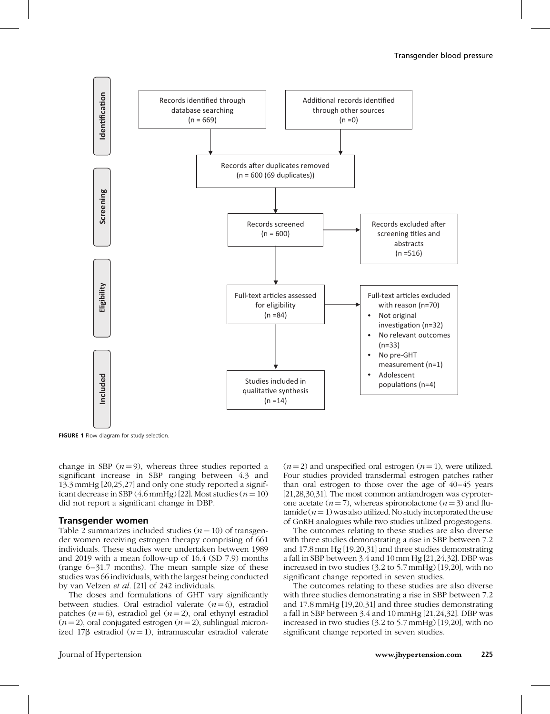

FIGURE 1 Flow diagram for study selection.

change in SBP  $(n=9)$ , whereas three studies reported a significant increase in SBP ranging between 4.3 and 13.3 mmHg [20,25,27] and only one study reported a significant decrease in SBP  $(4.6 \text{ mmHg})$  [22]. Most studies  $(n = 10)$ did not report a significant change in DBP.

#### Transgender women

Table 2 summarizes included studies  $(n = 10)$  of transgender women receiving estrogen therapy comprising of 661 individuals. These studies were undertaken between 1989 and 2019 with a mean follow-up of 16.4 (SD 7.9) months (range 6–31.7 months). The mean sample size of these studies was 66 individuals, with the largest being conducted by van Velzen et al. [21] of 242 individuals.

The doses and formulations of GHT vary significantly between studies. Oral estradiol valerate  $(n=6)$ , estradiol patches  $(n=6)$ , estradiol gel  $(n=2)$ , oral ethynyl estradiol  $(n=2)$ , oral conjugated estrogen  $(n=2)$ , sublingual micronized 17 $\beta$  estradiol (*n* = 1), intramuscular estradiol valerate

 $(n=2)$  and unspecified oral estrogen  $(n=1)$ , were utilized. Four studies provided transdermal estrogen patches rather than oral estrogen to those over the age of 40–45 years [21,28,30,31]. The most common antiandrogen was cyproterone acetate ( $n=7$ ), whereas spironolactone ( $n=3$ ) and flutamide ( $n=1$ ) was also utilized. No study incorporated the use of GnRH analogues while two studies utilized progestogens.

The outcomes relating to these studies are also diverse with three studies demonstrating a rise in SBP between 7.2 and 17.8 mm Hg [19,20,31] and three studies demonstrating a fall in SBP between 3.4 and 10mm Hg [21,24,32]. DBP was increased in two studies (3.2 to 5.7 mmHg) [19,20], with no significant change reported in seven studies.

The outcomes relating to these studies are also diverse with three studies demonstrating a rise in SBP between 7.2 and 17.8 mmHg [19,20,31] and three studies demonstrating a fall in SBP between 3.4 and 10mmHg [21,24,32]. DBP was increased in two studies (3.2 to 5.7 mmHg) [19,20], with no significant change reported in seven studies.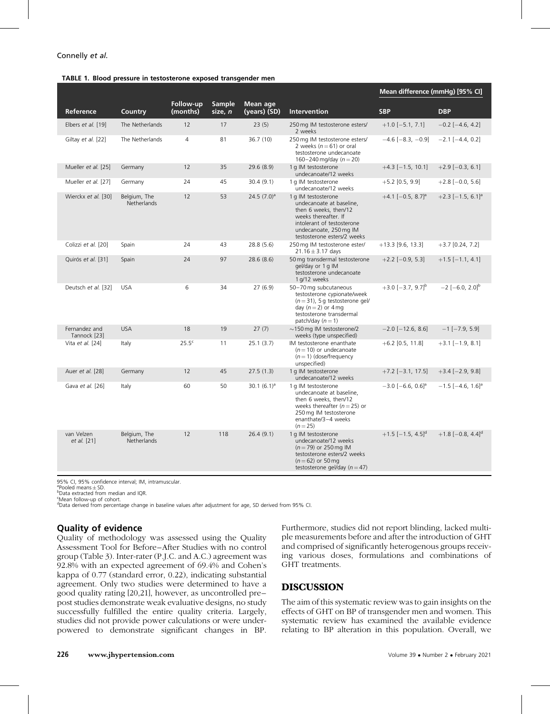#### TABLE 1. Blood pressure in testosterone exposed transgender men

|                               |                                    |                       |                          |                          |                                                                                                                                                                                         | Mean difference (mmHg) [95% CI]     |                                        |  |  |
|-------------------------------|------------------------------------|-----------------------|--------------------------|--------------------------|-----------------------------------------------------------------------------------------------------------------------------------------------------------------------------------------|-------------------------------------|----------------------------------------|--|--|
| Reference                     | Country                            | Follow-up<br>(months) | <b>Sample</b><br>size, n | Mean age<br>(years) (SD) | Intervention                                                                                                                                                                            | <b>SBP</b>                          | <b>DBP</b>                             |  |  |
| Elbers et al. [19]            | The Netherlands                    | 12                    | 17                       | 23(5)                    | 250 mg IM testosterone esters/<br>2 weeks                                                                                                                                               | $+1.0$ [-5.1, 7.1]                  | $-0.2$ [ $-4.6$ , 4.2]                 |  |  |
| Giltay et al. [22]            | The Netherlands                    | $\overline{4}$        | 81                       | 36.7(10)                 | 250 mg IM testosterone esters/<br>2 weeks $(n=61)$ or oral<br>testosterone undecanoate<br>160-240 mg/day $(n = 20)$                                                                     | $-4.6$ [ $-8.3$ . $-0.9$ ]          | $-2.1$ [ $-4.4$ , 0.2]                 |  |  |
| Mueller et al. [25]           | Germany                            | 12                    | 35                       | 29.6(8.9)                | 1 g IM testosterone<br>undecanoate/12 weeks                                                                                                                                             | $+4.3$ [-1.5, 10.1]                 | $+2.9$ [-0.3, 6.1]                     |  |  |
| Mueller et al. [27]           | Germany                            | 24                    | 45                       | 30.4(9.1)                | 1 g IM testosterone<br>undecanoate/12 weeks                                                                                                                                             | $+5.2$ [0.5, 9.9]                   | $+2.8[-0.0, 5.6]$                      |  |  |
| Wierckx et al. [30]           | Belgium, The<br><b>Netherlands</b> | 12                    | 53                       | 24.5 $(7.0)^a$           | 1 a IM testosterone<br>undecanoate at baseline,<br>then 6 weeks, then/12<br>weeks thereafter. If<br>intolerant of testosterone<br>undecanoate, 250 mg IM<br>testosterone esters/2 weeks | $+4.1$ [-0.5, 8.7] <sup>a</sup>     | $+2.3$ [-1.5, 6.1] <sup>a</sup>        |  |  |
| Colizzi et al. [20]           | Spain                              | 24                    | 43                       | 28.8 (5.6)               | 250 mg IM testosterone ester/<br>$21.16 \pm 3.17$ days                                                                                                                                  | $+13.3$ [9.6, 13.3]                 | $+3.7$ [0.24, 7.2]                     |  |  |
| Quirós et al. [31]            | Spain                              | 24                    | 97                       | 28.6(8.6)                | 50 mg transdermal testosterone<br>gel/day or 1 g IM<br>testosterone undecanoate<br>1 g/12 weeks                                                                                         | $+2.2$ [-0.9, 5.3]                  | $+1.5$ [-1.1, 4.1]                     |  |  |
| Deutsch et al. [32]           | <b>USA</b>                         | 6                     | 34                       | 27(6.9)                  | 50-70 mg subcutaneous<br>testosterone cypionate/week<br>$(n=31)$ , 5 g testosterone gel/<br>day $(n=2)$ or 4 mg<br>testosterone transdermal<br>patch/day $(n=1)$                        | $+3.0$ [-3.7, 9.7] <sup>b</sup>     | $-2[-6.0, 2.0]$ <sup>b</sup>           |  |  |
| Fernandez and<br>Tannock [23] | <b>USA</b>                         | 18                    | 19                       | 27(7)                    | $\sim$ 150 mg IM testosterone/2<br>weeks (type unspecified)                                                                                                                             | $-2.0$ [ $-12.6$ , 8.6]             | $-1$ [ $-7.9$ , 5.9]                   |  |  |
| Vita et al. [24]              | Italy                              | 25.5 <sup>c</sup>     | 11                       | 25.1(3.7)                | IM testosterone enanthate<br>$(n=10)$ or undecanoate<br>$(n=1)$ (dose/frequency<br>unspecified)                                                                                         | $+6.2$ [0.5, 11.8]                  | $+3.1$ [-1.9, 8.1]                     |  |  |
| Auer et al. [28]              | Germany                            | 12                    | 45                       | 27.5(1.3)                | 1 g IM testosterone<br>undecanoate/12 weeks                                                                                                                                             | $+7.2$ [-3.1, 17.5]                 | $+3.4[-2.9, 9.8]$                      |  |  |
| Gava et al. [26]              | Italy                              | 60                    | 50                       | 30.1 $(6.1)^a$           | 1 g IM testosterone<br>undecanoate at baseline,<br>then 6 weeks, then/12<br>weeks thereafter ( $n = 25$ ) or<br>250 mg IM testosterone<br>enanthate/3-4 weeks<br>$(n=25)$               | $-3.0$ [ $-6.6$ , 0.6] <sup>a</sup> | $-1.5$ [ $-4.6$ , $1.6$ ] <sup>a</sup> |  |  |
| van Velzen<br>et al. [21]     | Belgium, The<br><b>Netherlands</b> | 12                    | 118                      | 26.4(9.1)                | 1 g IM testosterone<br>undecanoate/12 weeks<br>$(n = 79)$ or 250 mg IM<br>testosterone esters/2 weeks<br>$(n=62)$ or 50 mg<br>testosterone gel/day ( $n = 47$ )                         | $+1.5$ [-1.5, 4.5] <sup>d</sup>     | $+1.8$ [-0.8, 4.4] <sup>d</sup>        |  |  |

95% CI, 95% confidence interval; IM, intramuscular.

 $\frac{a}{b}$ Pooled means  $\pm$  SD.

bData extracted from median and IQR.

<sup>c</sup>Mean follow-up of cohort.

<sup>d</sup>Data derived from percentage change in baseline values after adjustment for age, SD derived from 95% CI.

## Quality of evidence

Quality of methodology was assessed using the Quality Assessment Tool for Before–After Studies with no control group (Table 3). Inter-rater (P.J.C. and A.C.) agreement was 92.8% with an expected agreement of 69.4% and Cohen's kappa of 0.77 (standard error, 0.22), indicating substantial agreement. Only two studies were determined to have a good quality rating [20,21], however, as uncontrolled pre– post studies demonstrate weak evaluative designs, no study successfully fulfilled the entire quality criteria. Largely, studies did not provide power calculations or were underpowered to demonstrate significant changes in BP. Furthermore, studies did not report blinding, lacked multiple measurements before and after the introduction of GHT and comprised of significantly heterogenous groups receiving various doses, formulations and combinations of GHT treatments.

## DISCUSSION

The aim of this systematic review was to gain insights on the effects of GHT on BP of transgender men and women. This systematic review has examined the available evidence relating to BP alteration in this population. Overall, we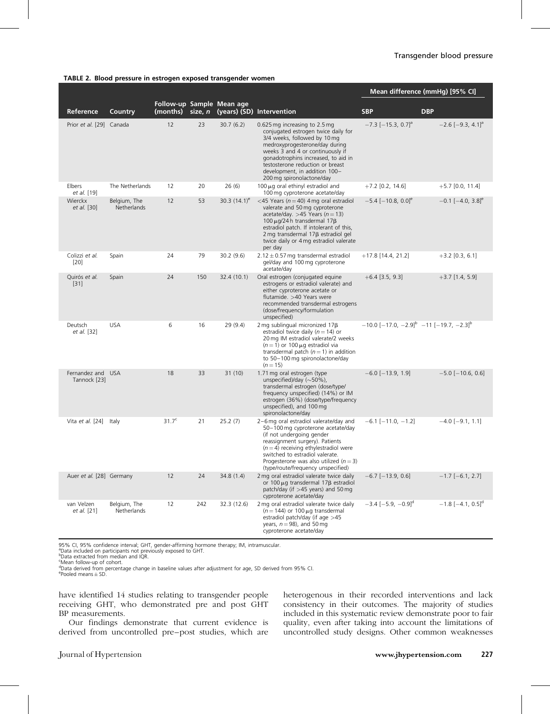#### TABLE 2. Blood pressure in estrogen exposed transgender women

|                                   |                             |                   |         |                           |                                                                                                                                                                                                                                                                                                                        | Mean difference (mmHg) [95% CI]                         |                                     |  |
|-----------------------------------|-----------------------------|-------------------|---------|---------------------------|------------------------------------------------------------------------------------------------------------------------------------------------------------------------------------------------------------------------------------------------------------------------------------------------------------------------|---------------------------------------------------------|-------------------------------------|--|
| Reference                         | Country                     | (months)          | size, n | Follow-up Sample Mean age | (years) (SD) Intervention                                                                                                                                                                                                                                                                                              | <b>SBP</b>                                              | <b>DBP</b>                          |  |
| Prior et al. [29] Canada          |                             | 12                | 23      | 30.7(6.2)                 | 0.625 mg increasing to 2.5 mg<br>conjugated estrogen twice daily for<br>3/4 weeks, followed by 10 mg<br>medroxyprogesterone/day during<br>weeks 3 and 4 or continuously if<br>gonadotrophins increased, to aid in<br>testosterone reduction or breast<br>development, in addition 100-<br>200 mg spironolactone/day    | $-7.3$ [ $-15.3$ , 0.7] <sup>a</sup>                    | $-2.6$ [ $-9.3$ , 4.1] <sup>a</sup> |  |
| Elbers<br>et al. [19]             | The Netherlands             | 12                | 20      | 26(6)                     | $100 \mu$ g oral ethinyl estradiol and<br>100 mg cyproterone acetate/day                                                                                                                                                                                                                                               | $+7.2$ [0.2, 14.6]                                      | $+5.7$ [0.0, 11.4]                  |  |
| Wierckx<br>et al. [30]            | Belgium, The<br>Netherlands | 12                | 53      | 30.3 $(14.1)^e$           | <45 Years ( $n = 40$ ) 4 mg oral estradiol<br>valerate and 50 mg cyproterone<br>acetate/day. > 45 Years ( $n = 13$ )<br>100 $\mu$ g/24 h transdermal 17 $\beta$<br>estradiol patch. If intolerant of this,<br>$2 \,\text{mg}$ transdermal $17\beta$ estradiol gel<br>twice daily or 4 mg estradiol valerate<br>per day | $-5.4$ [ $-10.8$ , 0.0] <sup>e</sup>                    | $-0.1$ [ $-4.0$ , 3.8] <sup>e</sup> |  |
| Colizzi et al.<br>$[20]$          | Spain                       | 24                | 79      | 30.2(9.6)                 | $2.12 \pm 0.57$ mg transdermal estradiol<br>gel/day and 100 mg cyproterone<br>acetate/day                                                                                                                                                                                                                              | $+17.8$ [14.4, 21.2]                                    | $+3.2$ [0.3, 6.1]                   |  |
| Quirós et al.<br>$[31]$           | Spain                       | 24                | 150     | 32.4 (10.1)               | Oral estrogen (conjugated equine<br>estrogens or estradiol valerate) and<br>either cyproterone acetate or<br>flutamide. >40 Years were<br>recommended transdermal estrogens<br>(dose/frequency/formulation<br>unspecified)                                                                                             | $+6.4$ [3.5, 9.3]                                       | $+3.7$ [1.4, 5.9]                   |  |
| Deutsch<br>et al. [32]            | <b>USA</b>                  | 6                 | 16      | 29(9.4)                   | 2 mg sublingual micronized $17\beta$<br>estradiol twice daily ( $n = 14$ ) or<br>20 mg IM estradiol valerate/2 weeks<br>$(n=1)$ or 100 µg estradiol via<br>transdermal patch ( $n = 1$ ) in addition<br>to 50-100 mg spironolactone/day<br>$(n=15)$                                                                    | $-10.0[-17.0, -2.9]^{b}$ -11 [-19.7, -2.3] <sup>b</sup> |                                     |  |
| Fernandez and USA<br>Tannock [23] |                             | 18                | 33      | 31(10)                    | 1.71 mg oral estrogen (type<br>unspecified)/day $(\sim 50\%)$ ,<br>transdermal estrogen (dose/type/<br>frequency unspecified) (14%) or IM<br>estrogen (36%) (dose/type/frequency<br>unspecified), and 100 mg<br>spironolactone/day                                                                                     | $-6.0$ [ $-13.9$ , 1.9]                                 | $-5.0$ [ $-10.6$ , 0.6]             |  |
| Vita et al. [24] Italy            |                             | 31.7 <sup>c</sup> | 21      | 25.2(7)                   | 2-6 mg oral estradiol valerate/day and<br>50-100 mg cyproterone acetate/day<br>(if not undergoing gender<br>reassignment surgery). Patients<br>$(n=4)$ receiving ethylestradiol were<br>switched to estradiol valerate.<br>Progesterone was also utilized ( $n = 3$ )<br>(type/route/frequency unspecified)            | $-6.1$ [ $-11.0$ , $-1.2$ ]                             | $-4.0$ [ $-9.1$ , 1.1]              |  |
| Auer et al. [28] Germany          |                             | 12                | 24      | 34.8(1.4)                 | 2 mg oral estradiol valerate twice daily<br>or 100 µg transdermal 17ß estradiol<br>patch/day (if $>45$ years) and 50 mg<br>cyproterone acetate/day                                                                                                                                                                     | $-6.7$ [ $-13.9$ , 0.6]                                 | $-1.7$ [-6.1, 2.7]                  |  |
| van Velzen<br>et al. [21]         | Belgium, The<br>Netherlands | 12                | 242     | 32.3 (12.6)               | 2 mg oral estradiol valerate twice daily<br>$(n = 144)$ or 100 µg transdermal<br>estradiol patch/day (if age $>45$<br>years, $n = 98$ ), and 50 mg<br>cyproterone acetate/day                                                                                                                                          | $-3.4$ [ $-5.9$ , $-0.9$ ] <sup>d</sup>                 | $-1.8$ [ $-4.1$ , 0.5] <sup>d</sup> |  |

95% CI, 95% confidence interval; GHT, gender-affirming hormone therapy; IM, intramuscular.

<sup>a</sup>Data included on participants not previously exposed to GHT.

b Data extracted from median and IQR.

<sup>c</sup>Mean follow-up of cohort.

<sup>d</sup>Data derived from percentage change in baseline values after adjustment for age, SD derived from 95% CI.<br><sup>e</sup>Pooled means±SD.

have identified 14 studies relating to transgender people receiving GHT, who demonstrated pre and post GHT BP measurements.

Our findings demonstrate that current evidence is derived from uncontrolled pre–post studies, which are

heterogenous in their recorded interventions and lack consistency in their outcomes. The majority of studies included in this systematic review demonstrate poor to fair quality, even after taking into account the limitations of uncontrolled study designs. Other common weaknesses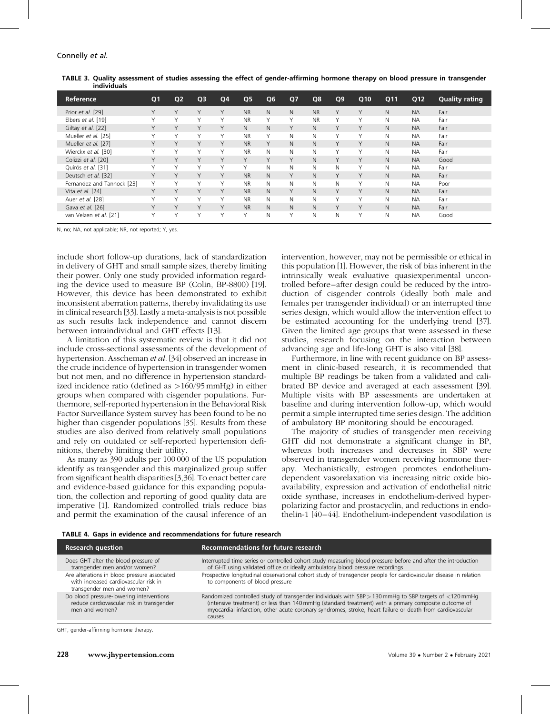| Reference                  | Q <sub>1</sub> | Q <sub>2</sub> | Q <sub>3</sub> | Q4 | Q <sub>5</sub> | Q <sub>6</sub> | Q7           | Q8        | Q <sub>9</sub> | Q10 | Q11 | Q12       | <b>Quality rating</b> |
|----------------------------|----------------|----------------|----------------|----|----------------|----------------|--------------|-----------|----------------|-----|-----|-----------|-----------------------|
| Prior et al. [29]          | Y              | Y              | Υ              | Υ  | <b>NR</b>      | N              | N            | <b>NR</b> | Y              | Υ   | N.  | <b>NA</b> | Fair                  |
| Elbers et al. [19]         | Y              | Υ              | Y              | Υ  | <b>NR</b>      | Y              | Y            | <b>NR</b> | Y              | Υ   | N   | <b>NA</b> | Fair                  |
| Giltay et al. [22]         | Y              | Y              | Y              | Υ  | N              | N              | Y            | N.        | Y              | Y   | N.  | <b>NA</b> | Fair                  |
| Mueller et al. [25]        | Υ              | Y              | Y              | Υ  | <b>NR</b>      | Y              | N            | N         | Y              | Υ   | N.  | <b>NA</b> | Fair                  |
| Mueller et al. [27]        | Y              | Y              | Y              | Y  | <b>NR</b>      | Y              | $\mathsf{N}$ | N.        | Y              | Y   | N   | <b>NA</b> | Fair                  |
| Wierckx et al. [30]        | Υ              | Υ              | Υ              | Υ  | <b>NR</b>      | N              | N            | N         | Y              | Υ   | N.  | <b>NA</b> | Fair                  |
| Colizzi et al. [20]        | Y              | Y              | Y              | Y  | Y              | Y              | Y            | N.        | Y              | Y   | N   | <b>NA</b> | Good                  |
| Quirós et al. [31]         | Υ              | Υ              | $\checkmark$   | Υ  | Υ              | $\mathsf{N}$   | N            | N         | N              | Υ   | N   | <b>NA</b> | Fair                  |
| Deutsch et al. [32]        | Y              | Y              | Y              | Y  | <b>NR</b>      | $\mathsf{N}$   | Y            | N.        | Y              | Y   | N.  | <b>NA</b> | Fair                  |
| Fernandez and Tannock [23] | Υ              | Υ              | Y              | Υ  | <b>NR</b>      | N              | N            | N         | N              | Υ   | N   | <b>NA</b> | Poor                  |
| Vita et al. [24]           | Y              | Y              | Y              | Υ  | <b>NR</b>      | N              | Y            | N.        | Y              | Y   | N.  | <b>NA</b> | Fair                  |
| Auer et al. [28]           | Y              | Y              | $\checkmark$   | Υ  | <b>NR</b>      | N              | N            | N         | Y              | Υ   | N   | <b>NA</b> | Fair                  |
| Gava et al. [26]           | Y              | Y              | Y              | Υ  | <b>NR</b>      | N              | N            | N.        | Y              | Υ   | N.  | <b>NA</b> | Fair                  |
| van Velzen et al. [21]     | Υ              | Υ              | $\checkmark$   | Υ  | Υ              | N              | Y            | N         | N              | Υ   | N   | <b>NA</b> | Good                  |

TABLE 3. Quality assessment of studies assessing the effect of gender-affirming hormone therapy on blood pressure in transgender individuals

N, no; NA, not applicable; NR, not reported; Y, yes.

include short follow-up durations, lack of standardization in delivery of GHT and small sample sizes, thereby limiting their power. Only one study provided information regarding the device used to measure BP (Colin, BP-8800) [19]. However, this device has been demonstrated to exhibit inconsistent aberration patterns, thereby invalidating its use in clinical research [33]. Lastly a meta-analysis is not possible as such results lack independence and cannot discern between intraindividual and GHT effects [13].

A limitation of this systematic review is that it did not include cross-sectional assessments of the development of hypertension. Asscheman et al. [34] observed an increase in the crude incidence of hypertension in transgender women but not men, and no difference in hypertension standardized incidence ratio (defined as >160/95 mmHg) in either groups when compared with cisgender populations. Furthermore, self-reported hypertension in the Behavioral Risk Factor Surveillance System survey has been found to be no higher than cisgender populations [35]. Results from these studies are also derived from relatively small populations and rely on outdated or self-reported hypertension definitions, thereby limiting their utility.

As many as 390 adults per 100 000 of the US population identify as transgender and this marginalized group suffer from significant health disparities [3,36]. To enact better care and evidence-based guidance for this expanding population, the collection and reporting of good quality data are imperative [1]. Randomized controlled trials reduce bias and permit the examination of the causal inference of an

intervention, however, may not be permissible or ethical in this population [1]. However, the risk of bias inherent in the intrinsically weak evaluative quasiexperimental uncontrolled before–after design could be reduced by the introduction of cisgender controls (ideally both male and females per transgender individual) or an interrupted time series design, which would allow the intervention effect to be estimated accounting for the underlying trend [37]. Given the limited age groups that were assessed in these studies, research focusing on the interaction between advancing age and life-long GHT is also vital [38].

Furthermore, in line with recent guidance on BP assessment in clinic-based research, it is recommended that multiple BP readings be taken from a validated and calibrated BP device and averaged at each assessment [39]. Multiple visits with BP assessments are undertaken at baseline and during intervention follow-up, which would permit a simple interrupted time series design. The addition of ambulatory BP monitoring should be encouraged.

The majority of studies of transgender men receiving GHT did not demonstrate a significant change in BP, whereas both increases and decreases in SBP were observed in transgender women receiving hormone therapy. Mechanistically, estrogen promotes endotheliumdependent vasorelaxation via increasing nitric oxide bioavailability, expression and activation of endothelial nitric oxide synthase, increases in endothelium-derived hyperpolarizing factor and prostacyclin, and reductions in endothelin-1 [40–44]. Endothelium-independent vasodilation is

TABLE 4. Gaps in evidence and recommendations for future research

| <b>Research question</b>                                                                                            | Recommendations for future research                                                                                                                                                                                                                                                                                                   |
|---------------------------------------------------------------------------------------------------------------------|---------------------------------------------------------------------------------------------------------------------------------------------------------------------------------------------------------------------------------------------------------------------------------------------------------------------------------------|
| Does GHT alter the blood pressure of<br>transgender men and/or women?                                               | Interrupted time series or controlled cohort study measuring blood pressure before and after the introduction<br>of GHT using validated office or ideally ambulatory blood pressure recordings                                                                                                                                        |
| Are alterations in blood pressure associated<br>with increased cardiovascular risk in<br>transgender men and women? | Prospective longitudinal observational cohort study of transgender people for cardiovascular disease in relation<br>to components of blood pressure                                                                                                                                                                                   |
| Do blood pressure-lowering interventions<br>reduce cardiovascular risk in transgender<br>men and women?             | Randomized controlled study of transgender individuals with SBP > 130 mmHg to SBP targets of <120 mmHg<br>(intensive treatment) or less than 140 mmHg (standard treatment) with a primary composite outcome of<br>myocardial infarction, other acute coronary syndromes, stroke, heart failure or death from cardiovascular<br>causes |
|                                                                                                                     |                                                                                                                                                                                                                                                                                                                                       |

GHT, gender-affirming hormone therapy.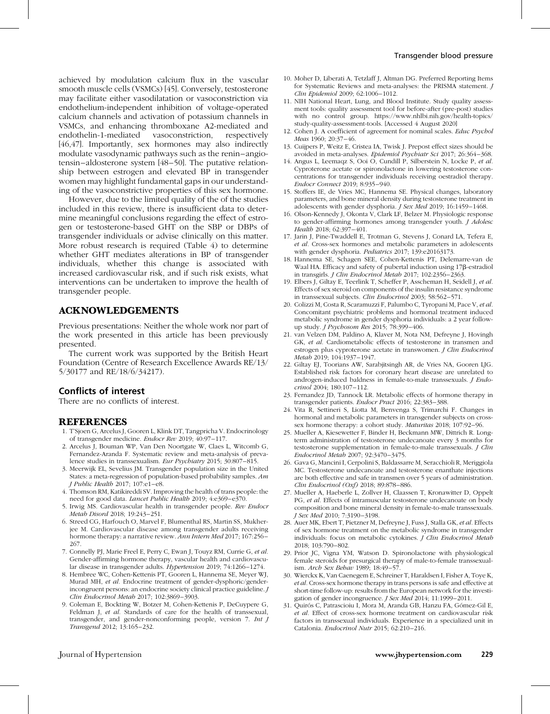achieved by modulation calcium flux in the vascular smooth muscle cells (VSMCs) [45]. Conversely, testosterone may facilitate either vasodilatation or vasoconstriction via endothelium-independent inhibition of voltage-operated calcium channels and activation of potassium channels in VSMCs, and enhancing thromboxane A2-mediated and endothelin-1-mediated vasoconstriction, respectively [46,47]. Importantly, sex hormones may also indirectly modulate vasodynamic pathways such as the renin–angiotensin–aldosterone system [48–50]. The putative relationship between estrogen and elevated BP in transgender women may highlight fundamental gaps in our understanding of the vasoconstrictive properties of this sex hormone.

However, due to the limited quality of the of the studies included in this review, there is insufficient data to determine meaningful conclusions regarding the effect of estrogen or testosterone-based GHT on the SBP or DBPs of transgender individuals or advise clinically on this matter. More robust research is required (Table 4) to determine whether GHT mediates alterations in BP of transgender individuals, whether this change is associated with increased cardiovascular risk, and if such risk exists, what interventions can be undertaken to improve the health of transgender people.

## ACKNOWLEDGEMENTS

Previous presentations: Neither the whole work nor part of the work presented in this article has been previously presented.

The current work was supported by the British Heart Foundation (Centre of Research Excellence Awards RE/13/ 5/30177 and RE/18/6/34217).

## Conflicts of interest

There are no conflicts of interest.

## REFERENCES

- 1. T'Sjoen G, Arcelus J, Gooren L, Klink DT, Tangpricha V. Endocrinology of transgender medicine. Endocr Rev 2019; 40:97–117.
- 2. Arcelus J, Bouman WP, Van Den Noortgate W, Claes L, Witcomb G, Fernandez-Aranda F. Systematic review and meta-analysis of prevalence studies in transsexualism. Eur Psychiatry 2015; 30:807–815.
- 3. Meerwijk EL, Sevelius JM. Transgender population size in the United States: a meta-regression of population-based probability samples. Am J Public Health 2017; 107:e1–e8.
- 4. Thomson RM, Katikireddi SV. Improving the health of trans people: the need for good data. Lancet Public Health 2019; 4:e369–e370.
- 5. Irwig MS. Cardiovascular health in transgender people. Rev Endocr Metab Disord 2018; 19:243–251.
- 6. Streed CG, Harfouch O, Marvel F, Blumenthal RS, Martin SS, Mukherjee M. Cardiovascular disease among transgender adults receiving hormone therapy: a narrative review. Ann Intern Med 2017; 167:256– 267.
- 7. Connelly PJ, Marie Freel E, Perry C, Ewan J, Touyz RM, Currie G, et al. Gender-affirming hormone therapy, vascular health and cardiovascular disease in transgender adults. Hypertension 2019; 74:1266–1274.
- 8. Hembree WC, Cohen-Kettenis PT, Gooren L, Hannema SE, Meyer WJ, Murad MH, et al. Endocrine treatment of gender-dysphoric/genderincongruent persons: an endocrine society clinical practice guideline. J Clin Endocrinol Metab 2017; 102:3869–3903.
- 9. Coleman E, Bockting W, Botzer M, Cohen-Kettenis P, DeCuypere G, Feldman J, et al. Standards of care for the health of transsexual, transgender, and gender-nonconforming people, version 7. Int J Transgend 2012; 13:165–232.
- 10. Moher D, Liberati A, Tetzlaff J, Altman DG. Preferred Reporting Items for Systematic Reviews and meta-analyses: the PRISMA statement. J Clin Epidemiol 2009; 62:1006–1012.
- 11. NIH National Heart, Lung, and Blood Institute. Study quality assessment tools: quality assessment tool for before-after (pre-post) studies with no control group. [https://www.nhlbi.nih.gov/health-topics/](https://www.nhlbi.nih.gov/health-topics/study-quality-assessment-tools) [study-quality-assessment-tools](https://www.nhlbi.nih.gov/health-topics/study-quality-assessment-tools). [Accessed 4 August 2020]
- 12. Cohen J. A coefficient of agreement for nominal scales. Educ Psychol Meas 1960; 20:37–46.
- 13. Cuijpers P, Weitz E, Cristea IA, Twisk J. Prepost effect sizes should be avoided in meta-analyses. Epidemiol Psychiatr Sci 2017; 26:364–368.
- 14. Angus L, Leemaqz S, Ooi O, Cundill P, Silberstein N, Locke P, et al. Cyproterone acetate or spironolactone in lowering testosterone concentrations for transgender individuals receiving oestradiol therapy. Endocr Connect 2019; 8:935–940.
- 15. Stoffers IE, de Vries MC, Hannema SE. Physical changes, laboratory parameters, and bone mineral density during testosterone treatment in adolescents with gender dysphoria. J Sex Med 2019; 16:1459–1468.
- 16. Olson-Kennedy J, Okonta V, Clark LF, Belzer M. Physiologic response to gender-affirming hormones among transgender youth. J Adolesc Health 2018; 62:397–401.
- 17. Jarin J, Pine-Twaddell E, Trotman G, Stevens J, Conard LA, Tefera E, et al. Cross-sex hormones and metabolic parameters in adolescents with gender dysphoria. Pediatrics 2017; 139:e20163173.
- 18. Hannema SE, Schagen SEE, Cohen-Kettenis PT, Delemarre-van de Waal HA. Efficacy and safety of pubertal induction using 17ß-estradiol in transgirls. J Clin Endocrinol Metab 2017; 102:2356–2363.
- 19. Elbers J, Giltay E, Teerlink T, Scheffer P, Asscheman H, Seidell J, et al. Effects of sex steroid on components of the insulin resistance syndrome in transsexual subjects. Clin Endocrinol 2003; 58:562–571.
- 20. Colizzi M, Costa R, Scaramuzzi F, Palumbo C, Tyropani M, Pace V, et al. Concomitant psychiatric problems and hormonal treatment induced metabolic syndrome in gender dysphoria individuals: a 2 year followup study. J Psychosom Res 2015; 78:399–406.
- 21. van Velzen DM, Paldino A, Klaver M, Nota NM, Defreyne J, Hovingh GK, et al. Cardiometabolic effects of testosterone in transmen and estrogen plus cyproterone acetate in transwomen. J Clin Endocrinol Metab 2019; 104:1937–1947.
- 22. Giltay EJ, Toorians AW, Sarabjitsingh AR, de Vries NA, Gooren LJG. Established risk factors for coronary heart disease are unrelated to androgen-induced baldness in female-to-male transsexuals. J Endocrinol 2004; 180:107–112.
- 23. Fernandez JD, Tannock LR. Metabolic effects of hormone therapy in transgender patients. Endocr Pract 2016; 22:383–388.
- 24. Vita R, Settineri S, Liotta M, Benvenga S, Trimarchi F. Changes in hormonal and metabolic parameters in transgender subjects on crosssex hormone therapy: a cohort study. Maturitas 2018; 107:92–96.
- 25. Mueller A, Kiesewetter F, Binder H, Beckmann MW, Dittrich R. Longterm administration of testosterone undecanoate every 3 months for testosterone supplementation in female-to-male transsexuals. J Clin Endocrinol Metab 2007; 92:3470–3475.
- 26. Gava G, Mancini I, Cerpolini S, Baldassarre M, Seracchioli R, Meriggiola MC. Testosterone undecanoate and testosterone enanthate injections are both effective and safe in transmen over 5 years of administration. Clin Endocrinol (Oxf) 2018; 89:878–886.
- 27. Mueller A, Haeberle L, Zollver H, Claassen T, Kronawitter D, Oppelt PG, et al. Effects of intramuscular testosterone undecanoate on body composition and bone mineral density in female-to-male transsexuals. J Sex Med 2010; 7:3190–3198.
- 28. Auer MK, Ebert T, Pietzner M, Defreyne J, Fuss J, Stalla GK, et al. Effects of sex hormone treatment on the metabolic syndrome in transgender individuals: focus on metabolic cytokines. J Clin Endocrinol Metab 2018; 103:790–802.
- 29. Prior JC, Vigna YM, Watson D. Spironolactone with physiological female steroids for presurgical therapy of male-to-female transsexualism. Arch Sex Behav 1989; 18:49–57.
- 30. Wierckx K, Van Caenegem E, Schreiner T, Haraldsen I, Fisher A, Toye K, et al. Cross-sex hormone therapy in trans persons is safe and effective at short-time follow-up: results from the European network for the investigation of gender incongruence. J Sex Med 2014; 11:1999–2011.
- 31. Quirós C, Patrascioiu I, Mora M, Aranda GB, Hanzu FA, Gómez-Gil E, et al. Effect of cross-sex hormone treatment on cardiovascular risk factors in transsexual individuals. Experience in a specialized unit in Catalonia. Endocrinol Nutr 2015; 62:210–216.